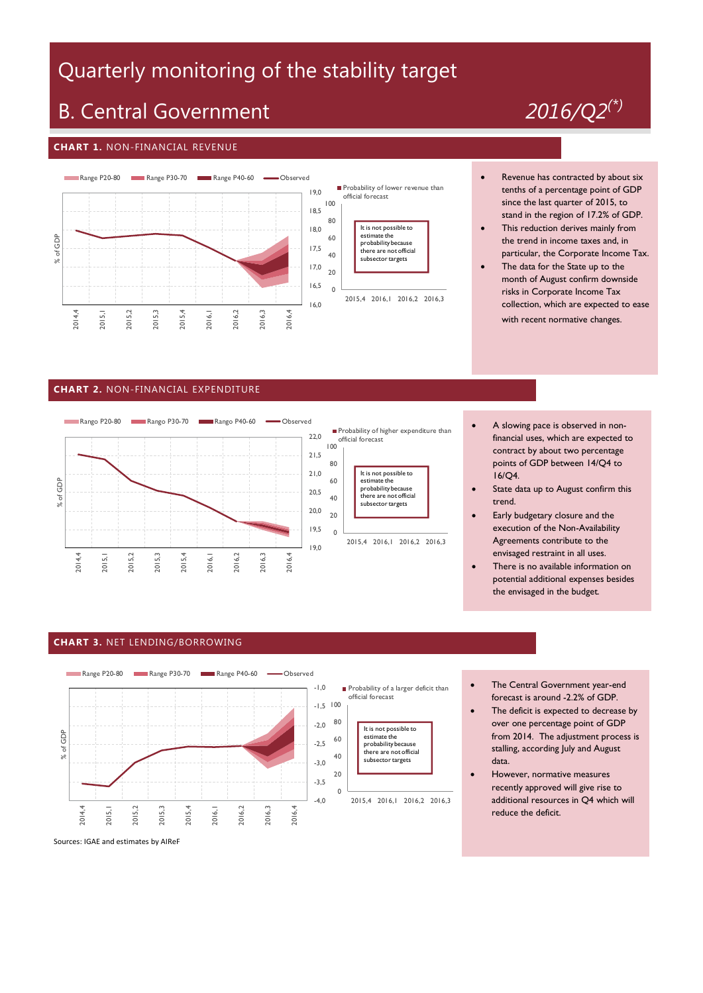# Quarterly monitoring of the stability target

## B. Central Government *2016/Q2(\*)*

#### **CHART 1.** NON-FINANCIAL REVENUE



- Revenue has contracted by about six tenths of a percentage point of GDP since the last quarter of 2015, to stand in the region of 17.2% of GDP.
- This reduction derives mainly from the trend in income taxes and, in particular, the Corporate Income Tax.
- The data for the State up to the month of August confirm downside risks in Corporate Income Tax collection, which are expected to ease with recent normative changes.

#### **CHART 2.** NON-FINANCIAL EXPENDITURE





- A slowing pace is observed in nonfinancial uses, which are expected to contract by about two percentage points of GDP between 14/Q4 to 16/Q4.
- State data up to August confirm this trend.
- Early budgetary closure and the execution of the Non-Availability Agreements contribute to the envisaged restraint in all uses.
- There is no available information on potential additional expenses besides the envisaged in the budget.

#### **CHART 3.** NET LENDING/BORROWING



- The Central Government year-end forecast is around -2.2% of GDP.
- The deficit is expected to decrease by over one percentage point of GDP from 2014. The adjustment process is stalling, according July and August data.
- However, normative measures recently approved will give rise to additional resources in Q4 which will reduce the deficit.

Sources: IGAE and estimates by AIReF